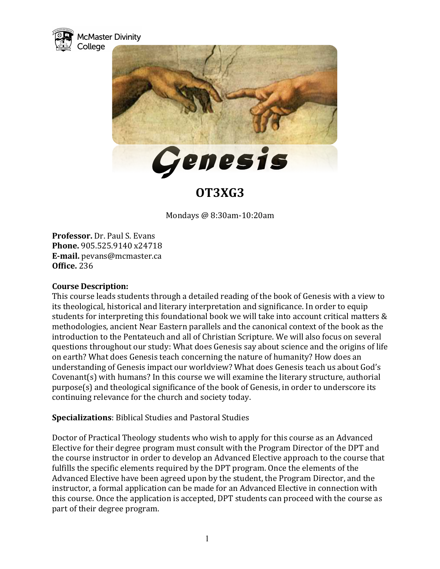



# **OT3XG3**

Mondays @ 8:30am-10:20am

**Professor.** Dr. Paul S. Evans **Phone.** 905.525.9140 x24718 **E-mail.** pevans@mcmaster.ca **Office.** 236

## **Course Description:**

This course leads students through a detailed reading of the book of Genesis with a view to its theological, historical and literary interpretation and significance. In order to equip students for interpreting this foundational book we will take into account critical matters & methodologies, ancient Near Eastern parallels and the canonical context of the book as the introduction to the Pentateuch and all of Christian Scripture. We will also focus on several questions throughout our study: What does Genesis say about science and the origins of life on earth? What does Genesis teach concerning the nature of humanity? How does an understanding of Genesis impact our worldview? What does Genesis teach us about God's Covenant(s) with humans? In this course we will examine the literary structure, authorial purpose(s) and theological significance of the book of Genesis, in order to underscore its continuing relevance for the church and society today.

**Specializations:** Biblical Studies and Pastoral Studies

Doctor of Practical Theology students who wish to apply for this course as an Advanced Elective for their degree program must consult with the Program Director of the DPT and the course instructor in order to develop an Advanced Elective approach to the course that fulfills the specific elements required by the DPT program. Once the elements of the Advanced Elective have been agreed upon by the student, the Program Director, and the instructor, a formal application can be made for an Advanced Elective in connection with this course. Once the application is accepted, DPT students can proceed with the course as part of their degree program.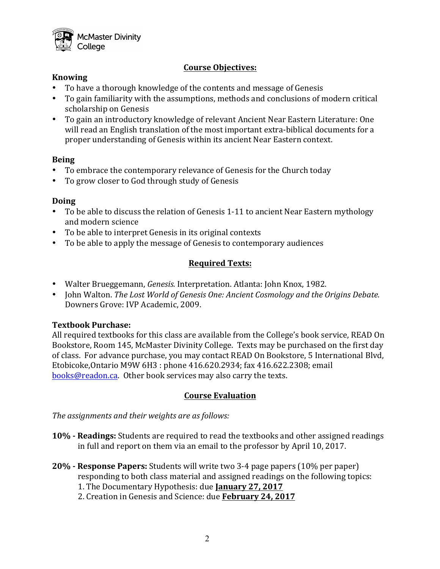

# **Course Objectives:**

## **Knowing**

- To have a thorough knowledge of the contents and message of Genesis
- To gain familiarity with the assumptions, methods and conclusions of modern critical scholarship on Genesis
- To gain an introductory knowledge of relevant Ancient Near Eastern Literature: One will read an English translation of the most important extra-biblical documents for a proper understanding of Genesis within its ancient Near Eastern context.

## **Being**

- To embrace the contemporary relevance of Genesis for the Church today
- To grow closer to God through study of Genesis

## **Doing**

- To be able to discuss the relation of Genesis 1-11 to ancient Near Eastern mythology and modern science
- To be able to interpret Genesis in its original contexts
- To be able to apply the message of Genesis to contemporary audiences

# **Required Texts:**

- Walter Brueggemann, *Genesis.* Interpretation. Atlanta: John Knox, 1982.
- John Walton. *The Lost World of Genesis One: Ancient Cosmology and the Origins Debate.* Downers Grove: IVP Academic, 2009.

# **Textbook Purchase:**

All required textbooks for this class are available from the College's book service, READ On Bookstore, Room 145, McMaster Divinity College. Texts may be purchased on the first day of class. For advance purchase, you may contact READ On Bookstore, 5 International Blvd, Etobicoke, Ontario M9W 6H3 : phone 416.620.2934; fax 416.622.2308; email books@readon.ca. Other book services may also carry the texts.

# **Course Evaluation**

The assignments and their weights are as follows:

- **10% Readings:** Students are required to read the textbooks and other assigned readings in full and report on them via an email to the professor by April 10, 2017.
- **20% Response Papers:** Students will write two 3-4 page papers (10% per paper) responding to both class material and assigned readings on the following topics:
	- 1. The Documentary Hypothesis: due **January 27, 2017**
	- 2. Creation in Genesis and Science: due February 24, 2017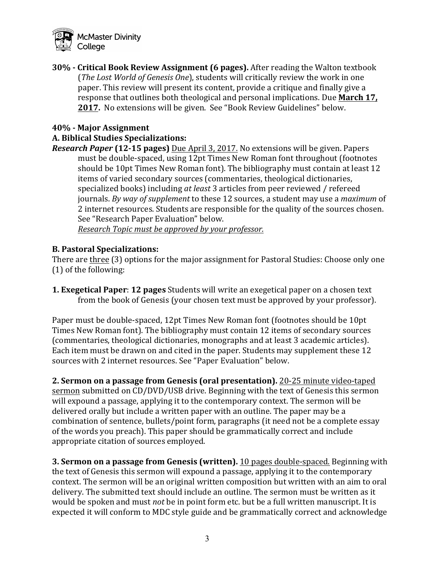

**30%** - Critical Book Review Assignment (6 pages). After reading the Walton textbook (*The Lost World of Genesis One*), students will critically review the work in one paper. This review will present its content, provide a critique and finally give a response that outlines both theological and personal implications. Due March 17, **2017.** No extensions will be given. See "Book Review Guidelines" below.

## **40% - Major Assignment**

#### **A. Biblical Studies Specializations:**

*Research Paper* (12-15 pages) Due April 3, 2017. No extensions will be given. Papers must be double-spaced, using 12pt Times New Roman font throughout (footnotes should be 10pt Times New Roman font). The bibliography must contain at least 12 items of varied secondary sources (commentaries, theological dictionaries, specialized books) including *at least* 3 articles from peer reviewed / refereed journals. *By way of supplement* to these 12 sources, a student may use a *maximum* of 2 internet resources. Students are responsible for the quality of the sources chosen. See "Research Paper Evaluation" below.

*Research Topic must be approved by your professor.*

#### **B. Pastoral Specializations:**

There are three (3) options for the major assignment for Pastoral Studies: Choose only one  $(1)$  of the following:

**1. Exegetical Paper: 12 pages** Students will write an exegetical paper on a chosen text from the book of Genesis (your chosen text must be approved by your professor).

Paper must be double-spaced, 12pt Times New Roman font (footnotes should be 10pt Times New Roman font). The bibliography must contain 12 items of secondary sources (commentaries, theological dictionaries, monographs and at least 3 academic articles). Each item must be drawn on and cited in the paper. Students may supplement these 12 sources with 2 internet resources. See "Paper Evaluation" below.

**2. Sermon on a passage from Genesis (oral presentation).** 20-25 minute video-taped sermon submitted on CD/DVD/USB drive. Beginning with the text of Genesis this sermon will expound a passage, applying it to the contemporary context. The sermon will be delivered orally but include a written paper with an outline. The paper may be a combination of sentence, bullets/point form, paragraphs (it need not be a complete essay of the words you preach). This paper should be grammatically correct and include appropriate citation of sources employed.

**3. Sermon on a passage from Genesis (written).** 10 pages double-spaced. Beginning with the text of Genesis this sermon will expound a passage, applying it to the contemporary context. The sermon will be an original written composition but written with an aim to oral delivery. The submitted text should include an outline. The sermon must be written as it would be spoken and must *not* be in point form etc. but be a full written manuscript. It is expected it will conform to MDC style guide and be grammatically correct and acknowledge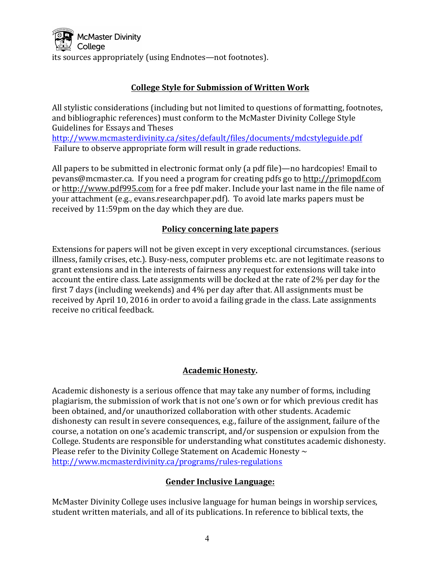

# **College Style for Submission of Written Work**

All stylistic considerations (including but not limited to questions of formatting, footnotes, and bibliographic references) must conform to the McMaster Divinity College Style Guidelines for Essays and Theses

http://www.mcmasterdivinity.ca/sites/default/files/documents/mdcstyleguide.pdf Failure to observe appropriate form will result in grade reductions.

All papers to be submitted in electronic format only (a pdf file)—no hardcopies! Email to pevans@mcmaster.ca. If you need a program for creating pdfs go to http://primopdf.com or http://www.pdf995.com for a free pdf maker. Include your last name in the file name of your attachment (e.g., evans.researchpaper.pdf). To avoid late marks papers must be received by 11:59pm on the day which they are due.

# **Policy concerning late papers**

Extensions for papers will not be given except in very exceptional circumstances. (serious illness, family crises, etc.). Busy-ness, computer problems etc. are not legitimate reasons to grant extensions and in the interests of fairness any request for extensions will take into account the entire class. Late assignments will be docked at the rate of 2% per day for the first  $7$  days (including weekends) and  $4\%$  per day after that. All assignments must be received by April 10, 2016 in order to avoid a failing grade in the class. Late assignments receive no critical feedback.

# **Academic Honesty.**

Academic dishonesty is a serious offence that may take any number of forms, including plagiarism, the submission of work that is not one's own or for which previous credit has been obtained, and/or unauthorized collaboration with other students. Academic dishonesty can result in severe consequences, e.g., failure of the assignment, failure of the course, a notation on one's academic transcript, and/or suspension or expulsion from the College. Students are responsible for understanding what constitutes academic dishonesty. Please refer to the Divinity College Statement on Academic Honesty  $\sim$ http://www.mcmasterdivinity.ca/programs/rules-regulations

# **Gender Inclusive Language:**

McMaster Divinity College uses inclusive language for human beings in worship services, student written materials, and all of its publications. In reference to biblical texts, the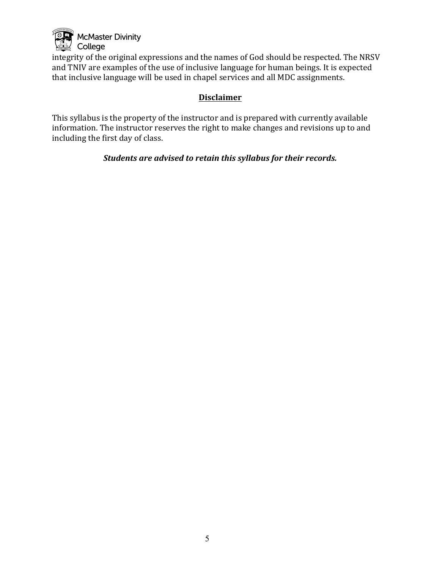

integrity of the original expressions and the names of God should be respected. The NRSV and TNIV are examples of the use of inclusive language for human beings. It is expected that inclusive language will be used in chapel services and all MDC assignments.

# **Disclaimer**

This syllabus is the property of the instructor and is prepared with currently available information. The instructor reserves the right to make changes and revisions up to and including the first day of class.

Students are advised to retain this syllabus for their records.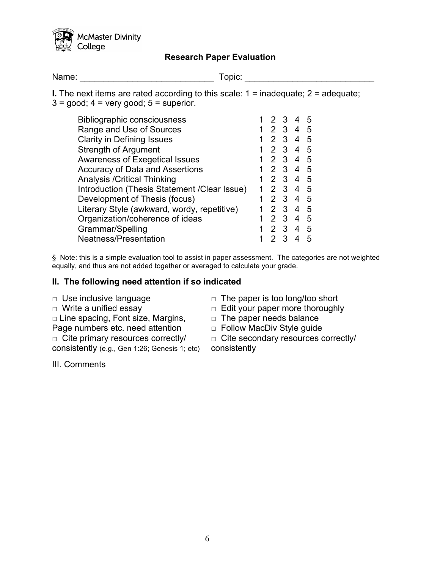

# **Research Paper Evaluation**

Name: Topic: Topic: The Contract of Topic: Topic: Topic: Topic: Topic: Topic: Topic: Topic: Topic: Topic: Topic: Topic: Topic: Topic: Topic: Topic: Topic: Topic: Topic: Topic: Topic: Topic: Topic: Topic: Topic: Topic: Topi

**I.** The next items are rated according to this scale:  $1 =$  inadequate;  $2 =$  adequate;  $3 = \text{good}$ ;  $4 = \text{very good}$ ;  $5 = \text{superior}$ .

| <b>Bibliographic consciousness</b>           |             |               | -3                      |                | 5  |
|----------------------------------------------|-------------|---------------|-------------------------|----------------|----|
| Range and Use of Sources                     | $\mathbf 1$ | $\mathcal{P}$ | 3 <sup>1</sup>          | 4              | -5 |
| <b>Clarity in Defining Issues</b>            | 1           | $\mathcal{P}$ | $\mathbf{3}$            | 4              | -5 |
| <b>Strength of Argument</b>                  |             | 2             | $\overline{\mathbf{3}}$ | 4              | 5  |
| <b>Awareness of Exegetical Issues</b>        |             | $\mathcal{P}$ | -3                      | 4              | 5  |
| <b>Accuracy of Data and Assertions</b>       |             | 2             | -3                      | $\overline{4}$ | -5 |
| <b>Analysis / Critical Thinking</b>          |             | $\mathcal{P}$ | -3                      | 4              | -5 |
| Introduction (Thesis Statement /Clear Issue) |             | $\mathcal{P}$ | $\mathbf{3}$            | 4              | -5 |
| Development of Thesis (focus)                |             | $\mathcal{P}$ | $\mathbf{3}$            | 4              | -5 |
| Literary Style (awkward, wordy, repetitive)  |             | $\mathcal{P}$ | -3                      | 4              | 5  |
| Organization/coherence of ideas              |             | $\mathcal{P}$ | -3                      | 4              | 5  |
| Grammar/Spelling                             |             | 2             | -3                      | 4              | 5  |
| Neatness/Presentation                        |             |               | ્વ                      |                | 5  |
|                                              |             |               |                         |                |    |

§ Note: this is a simple evaluation tool to assist in paper assessment. The categories are not weighted equally, and thus are not added together or averaged to calculate your grade.

#### **II. The following need attention if so indicated**

- 
- 
- □ Line spacing, Font size, Margins,
- Page numbers etc. need attention
- □ Cite primary resources correctly/
- consistently (e.g., Gen 1:26; Genesis 1; etc)
- III. Comments
- □ Use inclusive language □ □ The paper is too long/too short
- □ Write a unified essay □ □ Edit your paper more thoroughly
	- $\Box$  The paper needs balance
	- □ Follow MacDiv Style guide
	- □ Cite secondary resources correctly/

consistently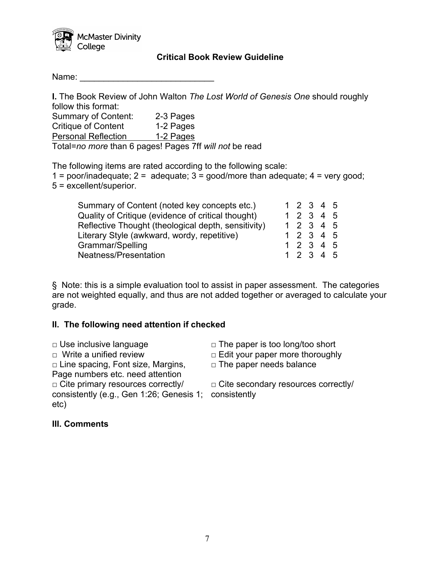

## **Critical Book Review Guideline**

Name:

**I.** The Book Review of John Walton *The Lost World of Genesis One* should roughly follow this format: Summary of Content: 2-3 Pages

Critique of Content 1-2 Pages Personal Reflection 1-2 Pages

Total=*no more* than 6 pages! Pages 7ff *will not* be read

The following items are rated according to the following scale: 1 = poor/inadequate;  $2 =$  adequate;  $3 =$  good/more than adequate;  $4 =$  very good; 5 = excellent/superior.

| Summary of Content (noted key concepts etc.)        |  | 1 2 3 4 5 |  |
|-----------------------------------------------------|--|-----------|--|
| Quality of Critique (evidence of critical thought)  |  | 12345     |  |
| Reflective Thought (theological depth, sensitivity) |  | 1 2 3 4 5 |  |
| Literary Style (awkward, wordy, repetitive)         |  | 12345     |  |
| Grammar/Spelling                                    |  | 1 2 3 4 5 |  |
| Neatness/Presentation                               |  | 1 2 3 4 5 |  |

§ Note: this is a simple evaluation tool to assist in paper assessment. The categories are not weighted equally, and thus are not added together or averaged to calculate your grade.

# **II. The following need attention if checked**

□ Use inclusive language □ □ The paper is too long/too short □ Write a unified review □ □ Edit your paper more thoroughly □ Line spacing, Font size, Margins, Page numbers etc. need attention  $\Box$  The paper needs balance □ Cite primary resources correctly/ consistently (e.g., Gen 1:26; Genesis 1; consistently etc) □ Cite secondary resources correctly/

## **III. Comments**